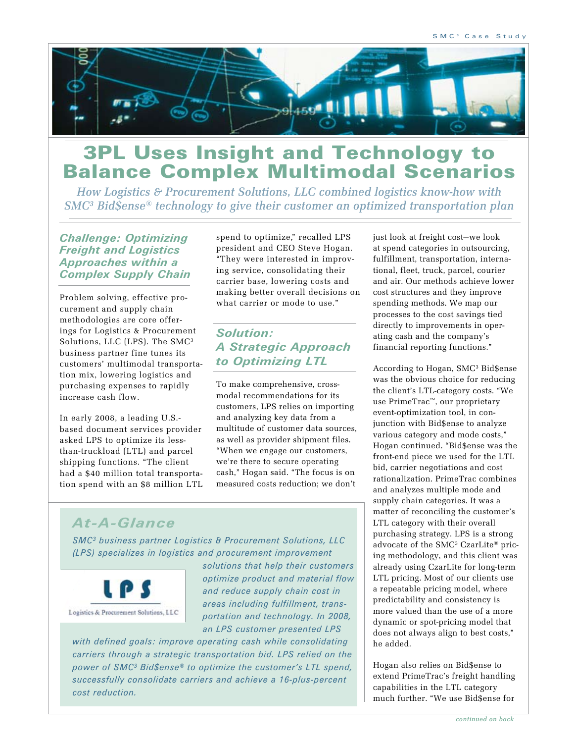

# 3PL Uses Insight and Technology to Balance Complex Multimodal Scenarios

*How Logistics & Procurement Solutions, LLC combined logistics know-how with SMC3 Bid\$ense® technology to give their customer an optimized transportation plan*

*Challenge: Optimizing Freight and Logistics Approaches within a Complex Supply Chain*

Problem solving, effective procurement and supply chain methodologies are core offerings for Logistics & Procurement Solutions, LLC (LPS). The SMC3 business partner fine tunes its customers' multimodal transportation mix, lowering logistics and purchasing expenses to rapidly increase cash flow.

In early 2008, a leading U.S. based document services provider asked LPS to optimize its lessthan-truckload (LTL) and parcel shipping functions. "The client had a \$40 million total transportation spend with an \$8 million LTL spend to optimize," recalled LPS president and CEO Steve Hogan. "They were interested in improving service, consolidating their carrier base, lowering costs and making better overall decisions on what carrier or mode to use."

### *Solution: A Strategic Approach to Optimizing LTL*

To make comprehensive, crossmodal recommendations for its customers, LPS relies on importing and analyzing key data from a multitude of customer data sources, as well as provider shipment files. "When we engage our customers, we're there to secure operating cash," Hogan said. "The focus is on measured costs reduction; we don't

just look at freight cost—we look at spend categories in outsourcing, fulfillment, transportation, international, fleet, truck, parcel, courier and air. Our methods achieve lower cost structures and they improve spending methods. We map our processes to the cost savings tied directly to improvements in operating cash and the company's financial reporting functions."

According to Hogan, SMC3 Bid\$ense was the obvious choice for reducing the client's LTL-category costs. "We use PrimeTrac™, our proprietary event-optimization tool, in conjunction with Bid\$ense to analyze various category and mode costs," Hogan continued. "Bid\$ense was the front-end piece we used for the LTL bid, carrier negotiations and cost rationalization. PrimeTrac combines and analyzes multiple mode and supply chain categories. It was a matter of reconciling the customer's LTL category with their overall purchasing strategy. LPS is a strong advocate of the SMC3 CzarLite® pricing methodology, and this client was already using CzarLite for long-term LTL pricing. Most of our clients use a repeatable pricing model, where predictability and consistency is more valued than the use of a more dynamic or spot-pricing model that does not always align to best costs," he added.

Hogan also relies on Bid\$ense to extend PrimeTrac's freight handling capabilities in the LTL category much further. "We use Bid\$ense for

## *At-A-Glance*

*SMC3 business partner Logistics & Procurement Solutions, LLC (LPS) specializes in logistics and procurement improvement* 



*solutions that help their customers optimize product and material flow and reduce supply chain cost in areas including fulfillment, transportation and technology. In 2008, an LPS customer presented LPS* 

*with defined goals: improve operating cash while consolidating carriers through a strategic transportation bid. LPS relied on the power of SMC3 Bid\$ense® to optimize the customer's LTL spend, successfully consolidate carriers and achieve a 16-plus-percent cost reduction.*